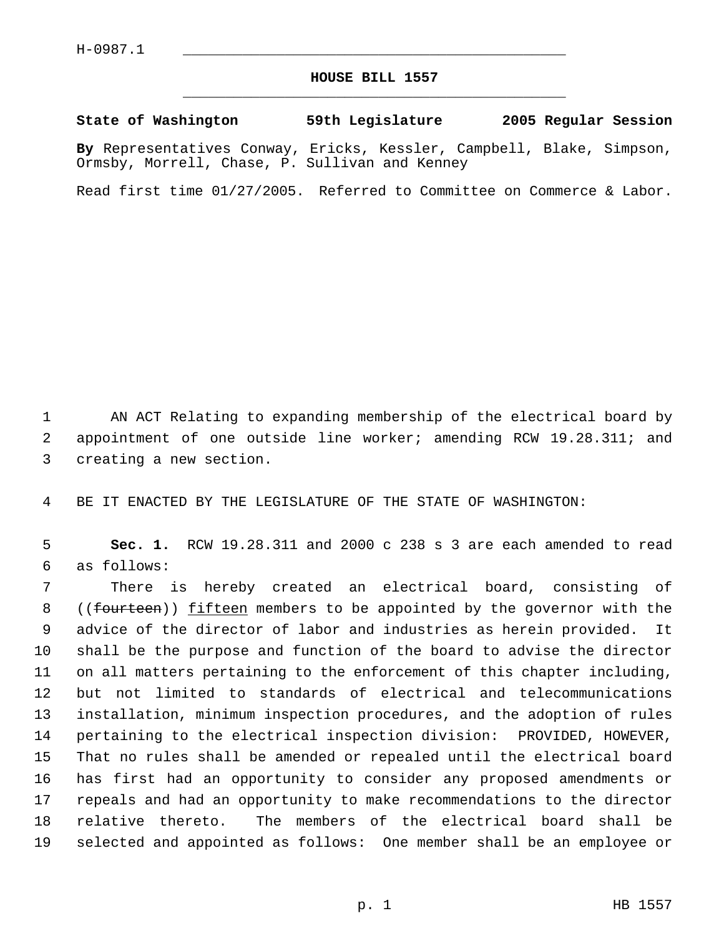## **HOUSE BILL 1557** \_\_\_\_\_\_\_\_\_\_\_\_\_\_\_\_\_\_\_\_\_\_\_\_\_\_\_\_\_\_\_\_\_\_\_\_\_\_\_\_\_\_\_\_\_

**State of Washington 59th Legislature 2005 Regular Session**

**By** Representatives Conway, Ericks, Kessler, Campbell, Blake, Simpson, Ormsby, Morrell, Chase, P. Sullivan and Kenney

Read first time 01/27/2005. Referred to Committee on Commerce & Labor.

 AN ACT Relating to expanding membership of the electrical board by appointment of one outside line worker; amending RCW 19.28.311; and creating a new section.

BE IT ENACTED BY THE LEGISLATURE OF THE STATE OF WASHINGTON:

 **Sec. 1.** RCW 19.28.311 and 2000 c 238 s 3 are each amended to read as follows:

 There is hereby created an electrical board, consisting of 8 ((fourteen)) fifteen members to be appointed by the governor with the advice of the director of labor and industries as herein provided. It shall be the purpose and function of the board to advise the director on all matters pertaining to the enforcement of this chapter including, but not limited to standards of electrical and telecommunications installation, minimum inspection procedures, and the adoption of rules pertaining to the electrical inspection division: PROVIDED, HOWEVER, That no rules shall be amended or repealed until the electrical board has first had an opportunity to consider any proposed amendments or repeals and had an opportunity to make recommendations to the director relative thereto. The members of the electrical board shall be selected and appointed as follows: One member shall be an employee or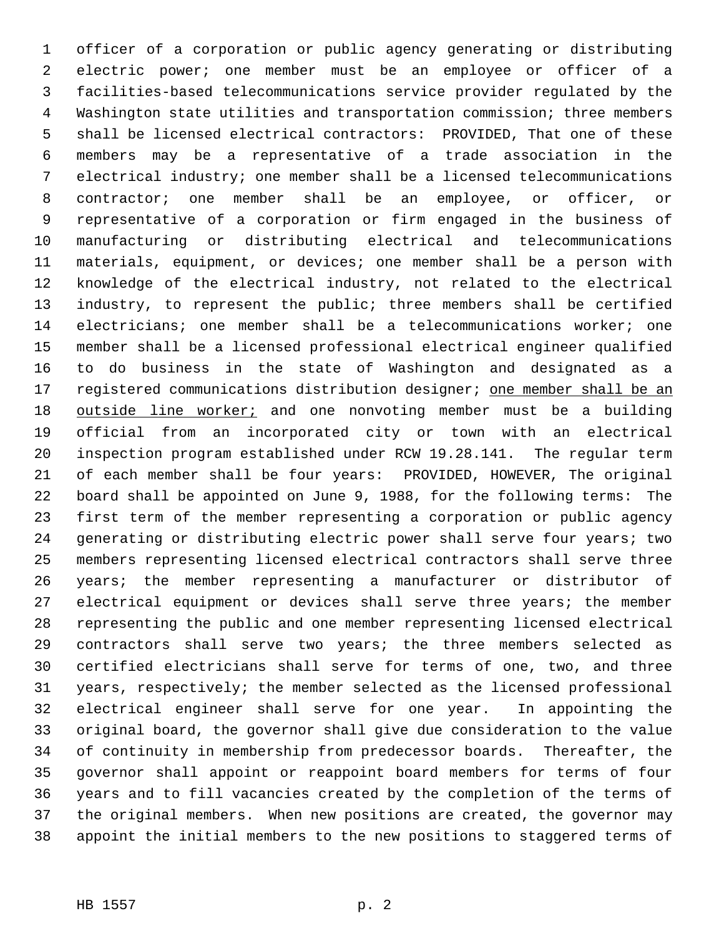officer of a corporation or public agency generating or distributing electric power; one member must be an employee or officer of a facilities-based telecommunications service provider regulated by the Washington state utilities and transportation commission; three members shall be licensed electrical contractors: PROVIDED, That one of these members may be a representative of a trade association in the electrical industry; one member shall be a licensed telecommunications contractor; one member shall be an employee, or officer, or representative of a corporation or firm engaged in the business of manufacturing or distributing electrical and telecommunications materials, equipment, or devices; one member shall be a person with knowledge of the electrical industry, not related to the electrical industry, to represent the public; three members shall be certified electricians; one member shall be a telecommunications worker; one member shall be a licensed professional electrical engineer qualified to do business in the state of Washington and designated as a 17 registered communications distribution designer; one member shall be an 18 outside line worker; and one nonvoting member must be a building official from an incorporated city or town with an electrical inspection program established under RCW 19.28.141. The regular term of each member shall be four years: PROVIDED, HOWEVER, The original board shall be appointed on June 9, 1988, for the following terms: The first term of the member representing a corporation or public agency generating or distributing electric power shall serve four years; two members representing licensed electrical contractors shall serve three years; the member representing a manufacturer or distributor of electrical equipment or devices shall serve three years; the member representing the public and one member representing licensed electrical contractors shall serve two years; the three members selected as certified electricians shall serve for terms of one, two, and three years, respectively; the member selected as the licensed professional electrical engineer shall serve for one year. In appointing the original board, the governor shall give due consideration to the value of continuity in membership from predecessor boards. Thereafter, the governor shall appoint or reappoint board members for terms of four years and to fill vacancies created by the completion of the terms of the original members. When new positions are created, the governor may appoint the initial members to the new positions to staggered terms of